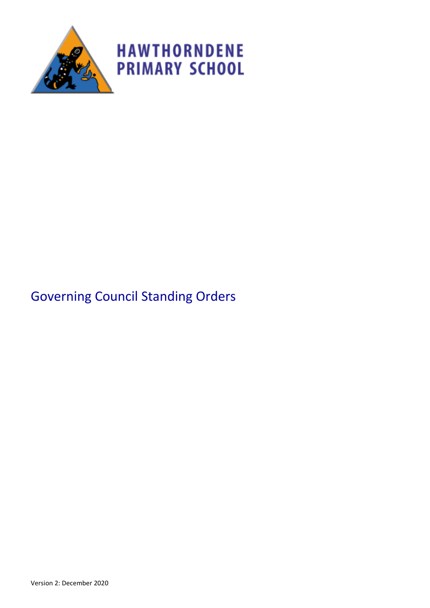

# Governing Council Standing Orders

Version 2: December 2020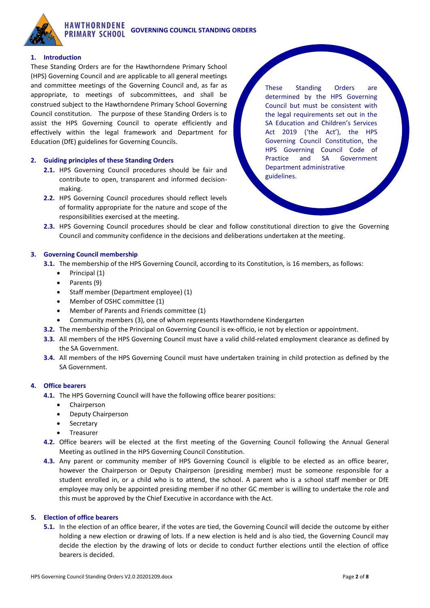

## **1. Introduction**

These Standing Orders are for the Hawthorndene Primary School (HPS) Governing Council and are applicable to all general meetings and committee meetings of the Governing Council and, as far as appropriate, to meetings of subcommittees, and shall be construed subject to the Hawthorndene Primary School Governing Council constitution. The purpose of these Standing Orders is to assist the HPS Governing Council to operate efficiently and effectively within the legal framework and Department for Education (DfE) guidelines for Governing Councils.

#### **2. Guiding principles of these Standing Orders**

- **2.1.** HPS Governing Council procedures should be fair and contribute to open, transparent and informed decisionmaking.
- **2.2.** HPS Governing Council procedures should reflect levels of formality appropriate for the nature and scope of the responsibilities exercised at the meeting.

These Standing Orders are determined by the HPS Governing Council but must be consistent with the legal requirements set out in the SA Education and Children's Services Act 2019 ('the Act'), the HPS Governing Council Constitution, the HPS Governing Council Code of Practice and SA Government Department administrative guidelines.

**2.3.** HPS Governing Council procedures should be clear and follow constitutional direction to give the Governing Council and community confidence in the decisions and deliberations undertaken at the meeting.

#### **3. Governing Council membership**

- **3.1.** The membership of the HPS Governing Council, according to its Constitution, is 16 members, as follows:
	- Principal (1)
	- Parents (9)
	- Staff member (Department employee) (1)
	- Member of OSHC committee (1)
	- Member of Parents and Friends committee (1)
	- Community members (3), one of whom represents Hawthorndene Kindergarten
- **3.2.** The membership of the Principal on Governing Council is ex-officio, ie not by election or appointment.
- **3.3.** All members of the HPS Governing Council must have a valid child-related employment clearance as defined by the SA Government.
- **3.4.** All members of the HPS Governing Council must have undertaken training in child protection as defined by the SA Government.

#### **4. Office bearers**

- **4.1.** The HPS Governing Council will have the following office bearer positions:
	- Chairperson
	- Deputy Chairperson
	- **Secretary**
	- **Treasurer**
- **4.2.** Office bearers will be elected at the first meeting of the Governing Council following the Annual General Meeting as outlined in the HPS Governing Council Constitution.
- **4.3.** Any parent or community member of HPS Governing Council is eligible to be elected as an office bearer, however the Chairperson or Deputy Chairperson (presiding member) must be someone responsible for a student enrolled in, or a child who is to attend, the school. A parent who is a school staff member or DfE employee may only be appointed presiding member if no other GC member is willing to undertake the role and this must be approved by the Chief Executive in accordance with the Act.

#### **5. Election of office bearers**

**5.1.** In the election of an office bearer, if the votes are tied, the Governing Council will decide the outcome by either holding a new election or drawing of lots. If a new election is held and is also tied, the Governing Council may decide the election by the drawing of lots or decide to conduct further elections until the election of office bearers is decided.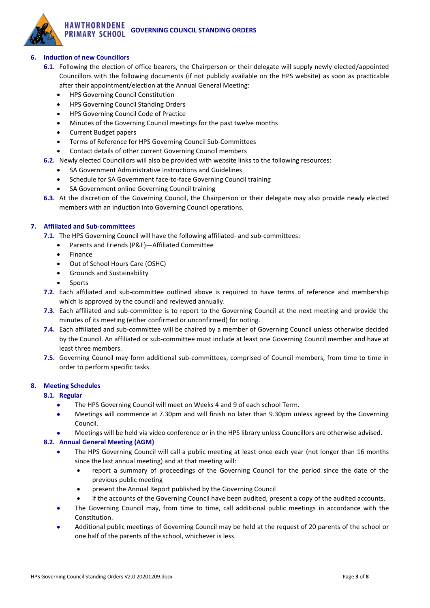## **6. Induction of new Councillors**

- **6.1.** Following the election of office bearers, the Chairperson or their delegate will supply newly elected/appointed Councillors with the following documents (if not publicly available on the HPS website) as soon as practicable after their appointment/election at the Annual General Meeting:
	- HPS Governing Council Constitution
	- HPS Governing Council Standing Orders
	- HPS Governing Council Code of Practice
	- Minutes of the Governing Council meetings for the past twelve months
	- Current Budget papers
	- Terms of Reference for HPS Governing Council Sub-Committees
	- Contact details of other current Governing Council members
- **6.2.** Newly elected Councillors will also be provided with website links to the following resources:
	- SA Government Administrative Instructions and Guidelines
	- Schedule for SA Government face-to-face Governing Council training
	- SA Government online Governing Council training
- **6.3.** At the discretion of the Governing Council, the Chairperson or their delegate may also provide newly elected members with an induction into Governing Council operations.

## **7. Affiliated and Sub-committees**

**7.1.** The HPS Governing Council will have the following affiliated- and sub-committees:

- Parents and Friends (P&F)—Affiliated Committee
- **Finance**
- Out of School Hours Care (OSHC)
- Grounds and Sustainability
- **Sports**
- **7.2.** Each affiliated and sub-committee outlined above is required to have terms of reference and membership which is approved by the council and reviewed annually.
- **7.3.** Each affiliated and sub-committee is to report to the Governing Council at the next meeting and provide the minutes of its meeting (either confirmed or unconfirmed) for noting.
- **7.4.** Each affiliated and sub-committee will be chaired by a member of Governing Council unless otherwise decided by the Council. An affiliated or sub-committee must include at least one Governing Council member and have at least three members.
- **7.5.** Governing Council may form additional sub-committees, comprised of Council members, from time to time in order to perform specific tasks.

## **8. Meeting Schedules**

## **8.1. Regular**

- The HPS Governing Council will meet on Weeks 4 and 9 of each school Term.
- Meetings will commence at 7.30pm and will finish no later than 9.30pm unless agreed by the Governing Council.
- Meetings will be held via video conference or in the HPS library unless Councillors are otherwise advised.

## **8.2. Annual General Meeting (AGM)**

- The HPS Governing Council will call a public meeting at least once each year (not longer than 16 months since the last annual meeting) and at that meeting will:
	- report a summary of proceedings of the Governing Council for the period since the date of the previous public meeting
	- present the Annual Report published by the Governing Council
	- if the accounts of the Governing Council have been audited, present a copy of the audited accounts.
- The Governing Council may, from time to time, call additional public meetings in accordance with the Constitution.
- Additional public meetings of Governing Council may be held at the request of 20 parents of the school or one half of the parents of the school, whichever is less.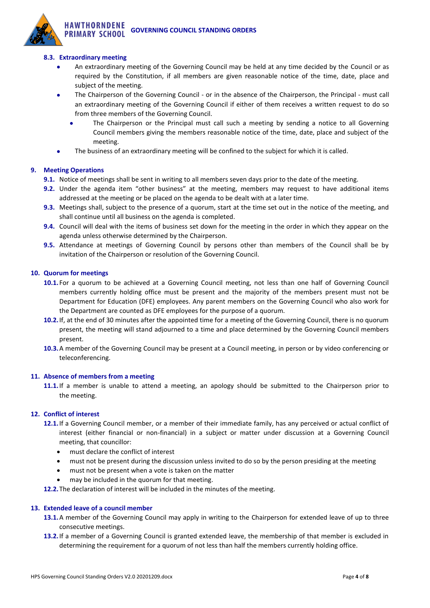## **8.3. Extraordinary meeting**

- An extraordinary meeting of the Governing Council may be held at any time decided by the Council or as required by the Constitution, if all members are given reasonable notice of the time, date, place and subject of the meeting.
- The Chairperson of the Governing Council or in the absence of the Chairperson, the Principal must call an extraordinary meeting of the Governing Council if either of them receives a written request to do so from three members of the Governing Council.
	- The Chairperson or the Principal must call such a meeting by sending a notice to all Governing Council members giving the members reasonable notice of the time, date, place and subject of the meeting.
- The business of an extraordinary meeting will be confined to the subject for which it is called.

#### **9. Meeting Operations**

- **9.1.** Notice of meetings shall be sent in writing to all members seven days prior to the date of the meeting.
- **9.2.** Under the agenda item "other business" at the meeting, members may request to have additional items addressed at the meeting or be placed on the agenda to be dealt with at a later time.
- **9.3.** Meetings shall, subject to the presence of a quorum, start at the time set out in the notice of the meeting, and shall continue until all business on the agenda is completed.
- **9.4.** Council will deal with the items of business set down for the meeting in the order in which they appear on the agenda unless otherwise determined by the Chairperson.
- **9.5.** Attendance at meetings of Governing Council by persons other than members of the Council shall be by invitation of the Chairperson or resolution of the Governing Council.

#### **10. Quorum for meetings**

- **10.1.** For a quorum to be achieved at a Governing Council meeting, not less than one half of Governing Council members currently holding office must be present and the majority of the members present must not be Department for Education (DFE) employees. Any parent members on the Governing Council who also work for the Department are counted as DFE employees for the purpose of a quorum.
- **10.2.**If, at the end of 30 minutes after the appointed time for a meeting of the Governing Council, there is no quorum present, the meeting will stand adjourned to a time and place determined by the Governing Council members present.
- **10.3.**A member of the Governing Council may be present at a Council meeting, in person or by video conferencing or teleconferencing.

#### **11. Absence of members from a meeting**

**11.1.**If a member is unable to attend a meeting, an apology should be submitted to the Chairperson prior to the meeting.

#### **12. Conflict of interest**

- **12.1.**If a Governing Council member, or a member of their immediate family, has any perceived or actual conflict of interest (either financial or non-financial) in a subject or matter under discussion at a Governing Council meeting, that councillor:
	- must declare the conflict of interest
	- must not be present during the discussion unless invited to do so by the person presiding at the meeting
	- must not be present when a vote is taken on the matter
	- may be included in the quorum for that meeting.

**12.2.**The declaration of interest will be included in the minutes of the meeting.

#### **13. Extended leave of a council member**

- **13.1.**A member of the Governing Council may apply in writing to the Chairperson for extended leave of up to three consecutive meetings.
- **13.2.**If a member of a Governing Council is granted extended leave, the membership of that member is excluded in determining the requirement for a quorum of not less than half the members currently holding office.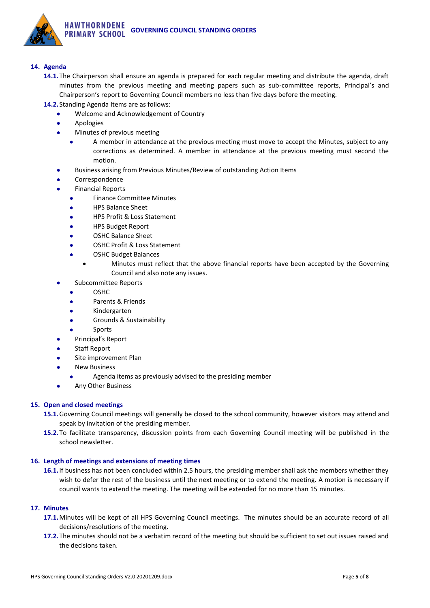

## **14. Agenda**

- **14.1.**The Chairperson shall ensure an agenda is prepared for each regular meeting and distribute the agenda, draft minutes from the previous meeting and meeting papers such as sub-committee reports, Principal's and Chairperson's report to Governing Council members no less than five days before the meeting.
- **14.2.** Standing Agenda Items are as follows:
	- Welcome and Acknowledgement of Country
	- Apologies
	- Minutes of previous meeting
		- A member in attendance at the previous meeting must move to accept the Minutes, subject to any corrections as determined. A member in attendance at the previous meeting must second the motion.
	- Business arising from Previous Minutes/Review of outstanding Action Items
	- **Correspondence**
	- Financial Reports
		- Finance Committee Minutes
		- HPS Balance Sheet
		- HPS Profit & Loss Statement
		- HPS Budget Report
		- OSHC Balance Sheet
		- OSHC Profit & Loss Statement
		- OSHC Budget Balances
			- Minutes must reflect that the above financial reports have been accepted by the Governing Council and also note any issues.
	- Subcommittee Reports
		- OSHC
		- Parents & Friends
		- Kindergarten
		- Grounds & Sustainability
		- **Sports**
	- Principal's Report
	- Staff Report
	- Site improvement Plan
	- **New Business** 
		- Agenda items as previously advised to the presiding member
	- Any Other Business

## **15. Open and closed meetings**

- **15.1.**Governing Council meetings will generally be closed to the school community, however visitors may attend and speak by invitation of the presiding member.
- **15.2.**To facilitate transparency, discussion points from each Governing Council meeting will be published in the school newsletter.

## **16. Length of meetings and extensions of meeting times**

**16.1.**If business has not been concluded within 2.5 hours, the presiding member shall ask the members whether they wish to defer the rest of the business until the next meeting or to extend the meeting. A motion is necessary if council wants to extend the meeting. The meeting will be extended for no more than 15 minutes.

## **17. Minutes**

- **17.1.**Minutes will be kept of all HPS Governing Council meetings. The minutes should be an accurate record of all decisions/resolutions of the meeting.
- **17.2.**The minutes should not be a verbatim record of the meeting but should be sufficient to set out issues raised and the decisions taken.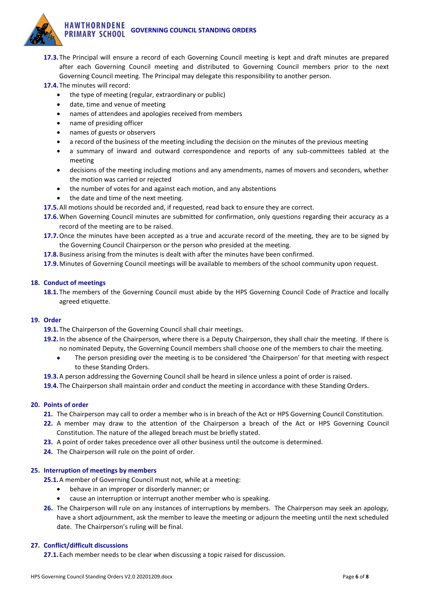

- **17.3.**The Principal will ensure a record of each Governing Council meeting is kept and draft minutes are prepared after each Governing Council meeting and distributed to Governing Council members prior to the next Governing Council meeting. The Principal may delegate this responsibility to another person.
- **17.4.**The minutes will record:
	- the type of meeting (regular, extraordinary or public)
	- date, time and venue of meeting
	- names of attendees and apologies received from members
	- name of presiding officer
	- names of guests or observers
	- a record of the business of the meeting including the decision on the minutes of the previous meeting
	- a summary of inward and outward correspondence and reports of any sub-committees tabled at the meeting
	- decisions of the meeting including motions and any amendments, names of movers and seconders, whether the motion was carried or rejected
	- the number of votes for and against each motion, and any abstentions
	- the date and time of the next meeting.
- **17.5.**All motions should be recorded and, if requested, read back to ensure they are correct.
- **17.6.**When Governing Council minutes are submitted for confirmation, only questions regarding their accuracy as a record of the meeting are to be raised.
- **17.7.**Once the minutes have been accepted as a true and accurate record of the meeting, they are to be signed by the Governing Council Chairperson or the person who presided at the meeting.
- **17.8.**Business arising from the minutes is dealt with after the minutes have been confirmed.

**17.9.**Minutes of Governing Council meetings will be available to members of the school community upon request.

## **18. Conduct of meetings**

**18.1.**The members of the Governing Council must abide by the HPS Governing Council Code of Practice and locally agreed etiquette.

## **19. Order**

**19.1.**The Chairperson of the Governing Council shall chair meetings.

- **19.2.**In the absence of the Chairperson, where there is a Deputy Chairperson, they shall chair the meeting. If there is no nominated Deputy, the Governing Council members shall choose one of the members to chair the meeting.
	- The person presiding over the meeting is to be considered 'the Chairperson' for that meeting with respect to these Standing Orders.
- **19.3.**A person addressing the Governing Council shall be heard in silence unless a point of order is raised.
- **19.4.**The Chairperson shall maintain order and conduct the meeting in accordance with these Standing Orders.

## **20. Points of order**

- **21.** The Chairperson may call to order a member who is in breach of the Act or HPS Governing Council Constitution.
- **22.** A member may draw to the attention of the Chairperson a breach of the Act or HPS Governing Council Constitution. The nature of the alleged breach must be briefly stated.
- **23.** A point of order takes precedence over all other business until the outcome is determined.
- **24.** The Chairperson will rule on the point of order.

## **25. Interruption of meetings by members**

**25.1.**A member of Governing Council must not, while at a meeting:

- behave in an improper or disorderly manner; or
- cause an interruption or interrupt another member who is speaking.
- **26.** The Chairperson will rule on any instances of interruptions by members. The Chairperson may seek an apology, have a short adjournment, ask the member to leave the meeting or adjourn the meeting until the next scheduled date. The Chairperson's ruling will be final.

## **27. Conflict/difficult discussions**

**27.1.**Each member needs to be clear when discussing a topic raised for discussion.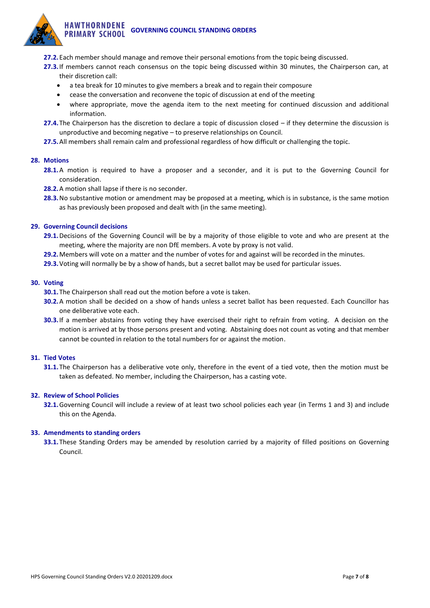- **27.2.**Each member should manage and remove their personal emotions from the topic being discussed.
- **27.3.**If members cannot reach consensus on the topic being discussed within 30 minutes, the Chairperson can, at their discretion call:
	- a tea break for 10 minutes to give members a break and to regain their composure
	- cease the conversation and reconvene the topic of discussion at end of the meeting
	- where appropriate, move the agenda item to the next meeting for continued discussion and additional information.
- **27.4.**The Chairperson has the discretion to declare a topic of discussion closed if they determine the discussion is unproductive and becoming negative – to preserve relationships on Council.
- **27.5.**All members shall remain calm and professional regardless of how difficult or challenging the topic.

## **28. Motions**

- **28.1.**A motion is required to have a proposer and a seconder, and it is put to the Governing Council for consideration.
- **28.2.**A motion shall lapse if there is no seconder.
- **28.3.**No substantive motion or amendment may be proposed at a meeting, which is in substance, is the same motion as has previously been proposed and dealt with (in the same meeting).

#### **29. Governing Council decisions**

- **29.1.**Decisions of the Governing Council will be by a majority of those eligible to vote and who are present at the meeting, where the majority are non DfE members. A vote by proxy is not valid.
- **29.2.**Members will vote on a matter and the number of votes for and against will be recorded in the minutes.
- **29.3.**Voting will normally be by a show of hands, but a secret ballot may be used for particular issues.

#### **30. Voting**

- **30.1.**The Chairperson shall read out the motion before a vote is taken.
- **30.2.**A motion shall be decided on a show of hands unless a secret ballot has been requested. Each Councillor has one deliberative vote each.
- **30.3.**If a member abstains from voting they have exercised their right to refrain from voting. A decision on the motion is arrived at by those persons present and voting. Abstaining does not count as voting and that member cannot be counted in relation to the total numbers for or against the motion.

## **31. Tied Votes**

**31.1.**The Chairperson has a deliberative vote only, therefore in the event of a tied vote, then the motion must be taken as defeated. No member, including the Chairperson, has a casting vote.

## **32. Review of School Policies**

**32.1.**Governing Council will include a review of at least two school policies each year (in Terms 1 and 3) and include this on the Agenda.

#### **33. Amendments to standing orders**

**33.1.**These Standing Orders may be amended by resolution carried by a majority of filled positions on Governing Council.